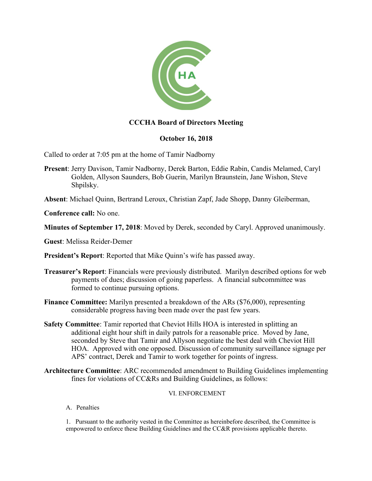

# **CCCHA Board of Directors Meeting**

# **October 16, 2018**

Called to order at 7:05 pm at the home of Tamir Nadborny

**Present**: Jerry Davison, Tamir Nadborny, Derek Barton, Eddie Rabin, Candis Melamed, Caryl Golden, Allyson Saunders, Bob Guerin, Marilyn Braunstein, Jane Wishon, Steve Shpilsky.

**Absent**: Michael Quinn, Bertrand Leroux, Christian Zapf, Jade Shopp, Danny Gleiberman,

**Conference call:** No one.

**Minutes of September 17, 2018**: Moved by Derek, seconded by Caryl. Approved unanimously.

**Guest**: Melissa Reider-Demer

**President's Report**: Reported that Mike Quinn's wife has passed away.

- **Treasurer's Report**: Financials were previously distributed. Marilyn described options for web payments of dues; discussion of going paperless. A financial subcommittee was formed to continue pursuing options.
- **Finance Committee:** Marilyn presented a breakdown of the ARs (\$76,000), representing considerable progress having been made over the past few years.
- **Safety Committee**: Tamir reported that Cheviot Hills HOA is interested in splitting an additional eight hour shift in daily patrols for a reasonable price. Moved by Jane, seconded by Steve that Tamir and Allyson negotiate the best deal with Cheviot Hill HOA. Approved with one opposed. Discussion of community surveillance signage per APS' contract, Derek and Tamir to work together for points of ingress.
- **Architecture Committee**: ARC recommended amendment to Building Guidelines implementing fines for violations of CC&Rs and Building Guidelines, as follows:

#### VI. ENFORCEMENT

A. Penalties

1. Pursuant to the authority vested in the Committee as hereinbefore described, the Committee is empowered to enforce these Building Guidelines and the CC&R provisions applicable thereto.